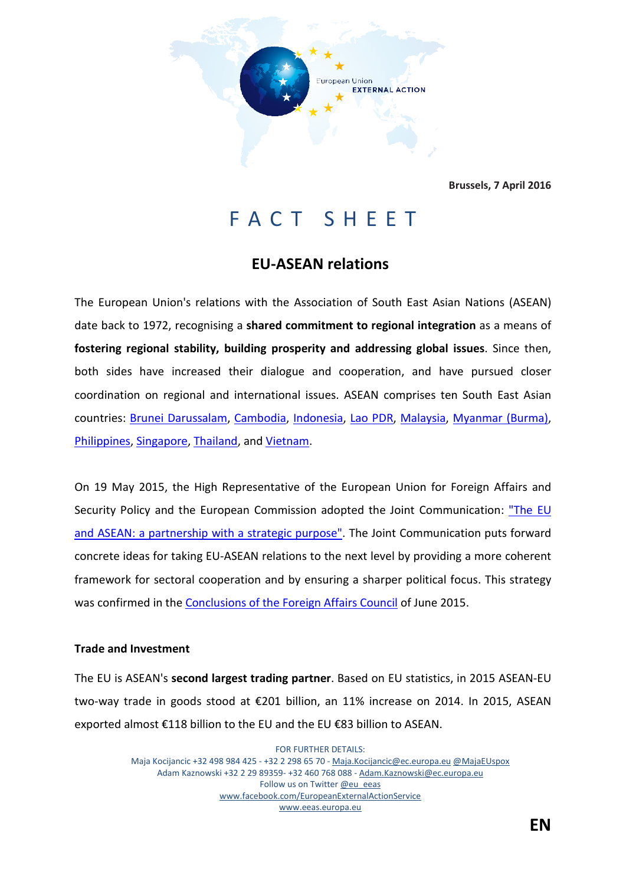

**Brussels, 7 April 2016**

# FACT SHEET

## **EU-ASEAN relations**

The European Union's relations with the Association of South East Asian Nations (ASEAN) date back to 1972, recognising a **shared commitment to regional integration** as a means of **fostering regional stability, building prosperity and addressing global issues**. Since then, both sides have increased their dialogue and cooperation, and have pursued closer coordination on regional and international issues. ASEAN comprises ten South East Asian countries: [Brunei Darussalam,](http://www.eeas.europa.eu/brunei_darussalam/index_en.htm) [Cambodia,](http://www.eeas.europa.eu/cambodia/index_en.htm) [Indonesia,](http://www.eeas.europa.eu/indonesia/index_en.htm) [Lao PDR,](http://www.eeas.europa.eu/laos/index_en.htm) [Malaysia,](http://www.eeas.europa.eu/malaysia/index_en.htm) [Myanmar \(Burma\),](http://www.eeas.europa.eu/myanmar/index_en.htm) [Philippines,](http://www.eeas.europa.eu/philippines/index_en.htm) [Singapore,](http://www.eeas.europa.eu/singapore/index_en.htm) [Thailand,](http://www.eeas.europa.eu/thailand/index_en.htm) an[d Vietnam.](http://www.eeas.europa.eu/vietnam/index_en.htm)

On 19 May 2015, the High Representative of the European Union for Foreign Affairs and Security Policy and the European Commission adopted the Joint Communication: "The EU [and ASEAN: a partnership with a strategic purpose".](http://eur-lex.europa.eu/legal-content/EN/TXT/PDF/?uri=JOIN:2015:22:FIN&from=EN) The Joint Communication puts forward concrete ideas for taking EU-ASEAN relations to the next level by providing a more coherent framework for sectoral cooperation and by ensuring a sharper political focus. This strategy was confirmed in the [Conclusions of the Foreign Affairs Council](http://www.consilium.europa.eu/en/press/press-releases/2015/06/22-fac-asean-conclusions/) of June 2015.

#### **Trade and Investment**

The EU is ASEAN's **second largest trading partner**. Based on EU statistics, in 2015 ASEAN-EU two-way trade in goods stood at €201 billion, an 11% increase on 2014. In 2015, ASEAN exported almost €118 billion to the EU and the EU €83 billion to ASEAN.

> FOR FURTHER DETAILS: Maja Kocijancic +32 498 984 425 - +32 2 298 65 70 - [Maja.Kocijancic@ec.europa.eu](file:///C:\Users\prended\AppData\Local\Microsoft\Windows\Temporary%20Internet%20Files\AppData\Local\Microsoft\Windows\Temporary%20Internet%20Files\AppData\Local\Microsoft\Windows\smerial\AppData\Local\Microsoft\Windows\Temporary%20Internet%20Files\AppData\Local\Microsoft\Windows\lievrde\AppData\Local\Microsoft\Windows\Temporary%20Internet%20Files\Content.Outlook\B3E41T5W\Maja.Kocijancic@ec.europa.eu) [@MajaEUspox](https://twitter.com/MajaEUspox) Adam Kaznowski +32 2 29 89359- +32 460 768 088 - [Adam.Kaznowski@ec.europa.eu](mailto:Eamonn.Prendergast@ec.europa.eu) Follow us on Twitter [@eu\\_eeas](https://twitter.com/eu_eeas) [www.facebook.com/EuropeanExternalActionService](http://www.facebook.com/EuropeanExternalActionService) [www.eeas.europa.eu](file:///C:\Users\prended\AppData\Local\Microsoft\Windows\Temporary%20Internet%20Files\AppData\Local\Microsoft\Windows\Temporary%20Internet%20Files\AppData\Local\Microsoft\Windows\smerial\AppData\Local\Microsoft\Windows\Temporary%20Internet%20Files\AppData\Local\Microsoft\Windows\lievrde\AppData\Local\Microsoft\Windows\Temporary%20Internet%20Files\Content.Outlook\B3E41T5W\www.eeas.europa.eu)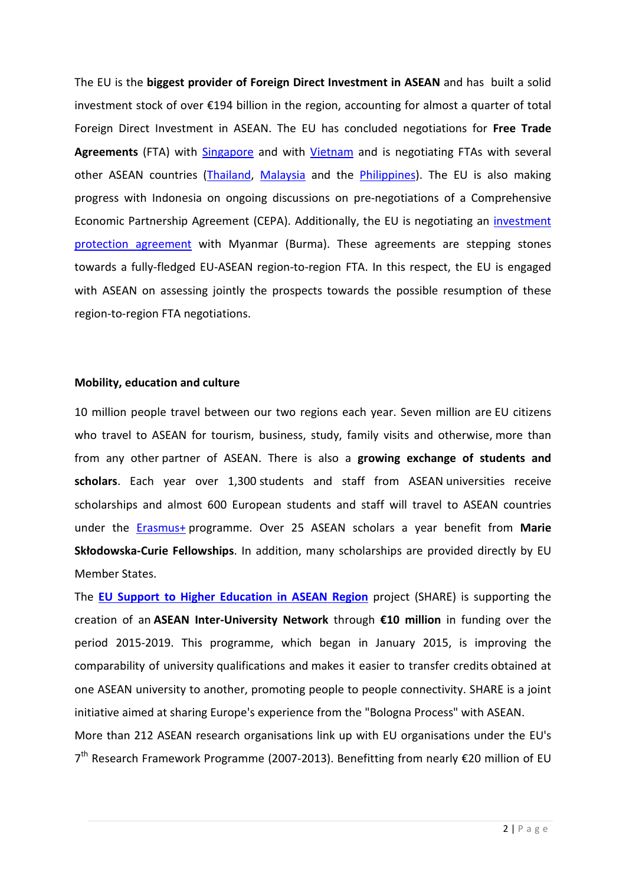The EU is the **biggest provider of Foreign Direct Investment in ASEAN** and has built a solid investment stock of over €194 billion in the region, accounting for almost a quarter of total Foreign Direct Investment in ASEAN. The EU has concluded negotiations for **Free Trade**  Agreements (FTA) with **Singapore** and with *Vietnam* and is negotiating FTAs with several other ASEAN countries [\(Thailand,](http://trade.ec.europa.eu/doclib/press/index.cfm?id=875) [Malaysia](http://trade.ec.europa.eu/doclib/docs/2010/october/tradoc_146696.pdf) and the [Philippines\)](http://europa.eu/rapid/press-release_IP-15-6352_en.htm). The EU is also making progress with Indonesia on ongoing discussions on pre-negotiations of a Comprehensive Economic Partnership Agreement (CEPA). Additionally, the EU is negotiating an *investment* [protection agreement](http://europa.eu/rapid/press-release_IP-14-285_en.htm) with Myanmar (Burma). These agreements are stepping stones towards a fully-fledged EU-ASEAN region-to-region FTA. In this respect, the EU is engaged with ASEAN on assessing jointly the prospects towards the possible resumption of these region-to-region FTA negotiations.

#### **Mobility, education and culture**

10 million people travel between our two regions each year. Seven million are EU citizens who travel to ASEAN for tourism, business, study, family visits and otherwise, more than from any other partner of ASEAN. There is also a **growing exchange of students and scholars**. Each year over 1,300 students and staff from ASEAN universities receive scholarships and almost 600 European students and staff will travel to ASEAN countries under the [Erasmus+](http://ec.europa.eu/programmes/erasmus-plus/) programme. Over 25 ASEAN scholars a year benefit from **Marie Skłodowska-Curie Fellowships**. In addition, many scholarships are provided directly by EU Member States.

The **EU Support to Higher [Education in ASEAN Region](http://www.share-asean.eu/)** project (SHARE) is supporting the creation of an **ASEAN Inter-University Network** through **€10 million** in funding over the period 2015-2019. This programme, which began in January 2015, is improving the comparability of university qualifications and makes it easier to transfer credits obtained at one ASEAN university to another, promoting people to people connectivity. SHARE is a joint initiative aimed at sharing Europe's experience from the "Bologna Process" with ASEAN. More than 212 ASEAN research organisations link up with EU organisations under the EU's  $7<sup>th</sup>$  Research Framework Programme (2007-2013). Benefitting from nearly €20 million of EU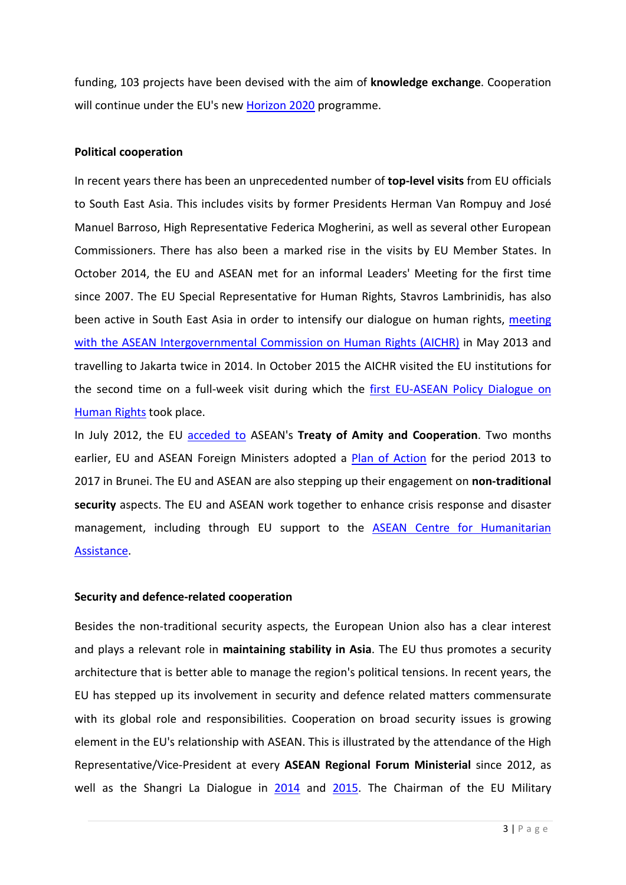funding, 103 projects have been devised with the aim of **knowledge exchange**. Cooperation will continue under the EU's new [Horizon 2020](https://ec.europa.eu/programmes/horizon2020/) programme.

#### **Political cooperation**

In recent years there has been an unprecedented number of **top-level visits** from EU officials to South East Asia. This includes visits by former Presidents Herman Van Rompuy and José Manuel Barroso, High Representative Federica Mogherini, as well as several other European Commissioners. There has also been a marked rise in the visits by EU Member States. In October 2014, the EU and ASEAN met for an informal Leaders' Meeting for the first time since 2007. The EU Special Representative for Human Rights, Stavros Lambrinidis, has also been active in South East Asia in order to intensify our dialogue on human rights, meeting [with the ASEAN Intergovernmental Commission on Human Rights \(AICHR\)](http://aichr.org/press-release/the-asean-intergovernmental-commission-on-human-rights-meets-with-the-european-union-special-representative-for-human-rights/) in May 2013 and travelling to Jakarta twice in 2014. In October 2015 the AICHR visited the EU institutions for the second time on a full-week visit during which the [first EU-ASEAN Policy Dialogue on](http://eeas.europa.eu/top_stories/2015/151026_02_en.htm)  [Human Rights](http://eeas.europa.eu/top_stories/2015/151026_02_en.htm) took place.

In July 2012, the EU [acceded to](http://europa.eu/rapid/press-release_IP-12-781_en.htm) ASEAN's **Treaty of Amity and Cooperation**. Two months earlier, EU and ASEAN Foreign Ministers adopted a [Plan of Action](http://www.eeas.europa.eu/asean/docs/plan_of_action_en.pdf) for the period 2013 to 2017 in Brunei. The EU and ASEAN are also stepping up their engagement on **non-traditional security** aspects. The EU and ASEAN work together to enhance crisis response and disaster management, including through EU support to the **ASEAN Centre for Humanitarian** [Assistance.](http://www.ahacentre.org/)

### **Security and defence-related cooperation**

Besides the non-traditional security aspects, the European Union also has a clear interest and plays a relevant role in **maintaining stability in Asia**. The EU thus promotes a security architecture that is better able to manage the region's political tensions. In recent years, the EU has stepped up its involvement in security and defence related matters commensurate with its global role and responsibilities. Cooperation on broad security issues is growing element in the EU's relationship with ASEAN. This is illustrated by the attendance of the High Representative/Vice-President at every **ASEAN Regional Forum Ministerial** since 2012, as well as the Shangri La Dialogue in [2014](http://europa.eu/rapid/press-release_IP-13-489_en.htm) and [2015.](http://eeas.europa.eu/top_stories/2015/010615_asia_security_summit_en.htm) The Chairman of the EU Military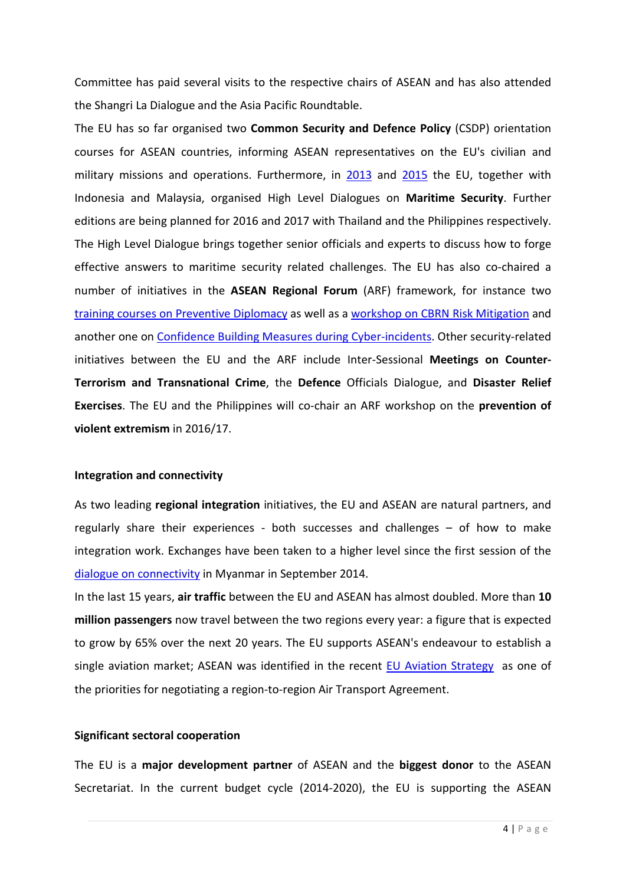Committee has paid several visits to the respective chairs of ASEAN and has also attended the Shangri La Dialogue and the Asia Pacific Roundtable.

The EU has so far organised two **Common Security and Defence Policy** (CSDP) orientation courses for ASEAN countries, informing ASEAN representatives on the EU's civilian and military missions and operations. Furthermore, in [2013](http://eeas.europa.eu/delegations/indonesia/press_corner/all_news/news/2013/20131118_01_en.htm) and [2015](http://eeas.europa.eu/delegations/indonesia/press_corner/all_news/news/2015/20150506_02_en.htm) the EU, together with Indonesia and Malaysia, organised High Level Dialogues on **Maritime Security**. Further editions are being planned for 2016 and 2017 with Thailand and the Philippines respectively. The High Level Dialogue brings together senior officials and experts to discuss how to forge effective answers to maritime security related challenges. The EU has also co-chaired a number of initiatives in the **ASEAN Regional Forum** (ARF) framework, for instance two training [courses on Preventive Diplomacy](http://eeas.europa.eu/delegations/asean/press_corner/all_news/news/2015/20151130_01_en.htm) as well as a [workshop on CBRN Risk Mitigation](http://eeas.europa.eu/delegations/asean/press_corner/all_news/news/2015/20150910_01_en.htm) and another one on [Confidence Building Measures during Cyber-incidents.](http://eeas.europa.eu/delegations/malaysia/press_corner/all_news/news/2016/short_content_en.htm) Other security-related initiatives between the EU and the ARF include Inter-Sessional **Meetings on Counter-Terrorism and Transnational Crime**, the **Defence** Officials Dialogue, and **Disaster Relief Exercises**. The EU and the Philippines will co-chair an ARF workshop on the **prevention of violent extremism** in 2016/17.

#### **Integration and connectivity**

As two leading **regional integration** initiatives, the EU and ASEAN are natural partners, and regularly share their experiences - both successes and challenges – of how to make integration work. Exchanges have been taken to a higher level since the first session of the [dialogue on connectivity](http://eeas.europa.eu/delegations/indonesia/press_corner/all_news/news/2014/20140228_01_en.htm) in Myanmar in September 2014.

In the last 15 years, **air traffic** between the EU and ASEAN has almost doubled. More than **10 million passengers** now travel between the two regions every year: a figure that is expected to grow by 65% over the next 20 years. The EU supports ASEAN's endeavour to establish a single aviation market; ASEAN was identified in the recent [EU Aviation Strategy](http://europa.eu/rapid/press-release_MEMO-15-6145_en.htm) as one of the priorities for negotiating a region-to-region Air Transport Agreement.

#### **Significant sectoral cooperation**

The EU is a **major development partner** of ASEAN and the **biggest donor** to the ASEAN Secretariat. In the current budget cycle (2014-2020), the EU is supporting the ASEAN